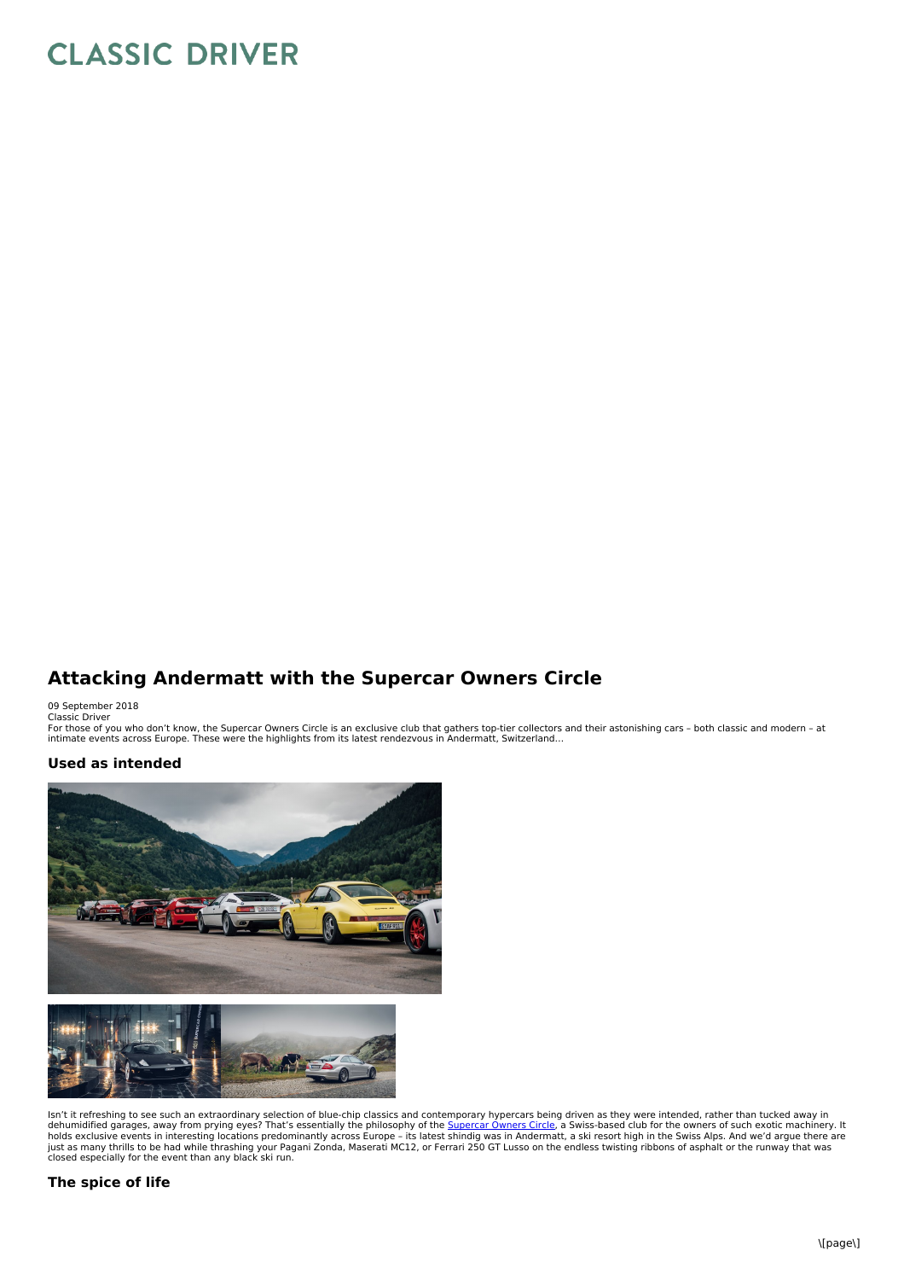## **CLASSIC DRIVER**

## **Attacking Andermatt with the Supercar Owners Circle**

09 September 2018 Classic Driver

For those of you who don't know, the Supercar Owners Circle is an exclusive club that gathers top-tier collectors and their astonishing cars - both classic and modern - at<br>intimate events across Europe. These were the high

## **Used as intended**



lsn't it refreshing to see such an extraordinary selection of blue-chip classics and contemporary hypercars being driven as they were intended, rather than tucked away in<br>dehumidified garages, away from prying eyes? That's

## **The spice of life**